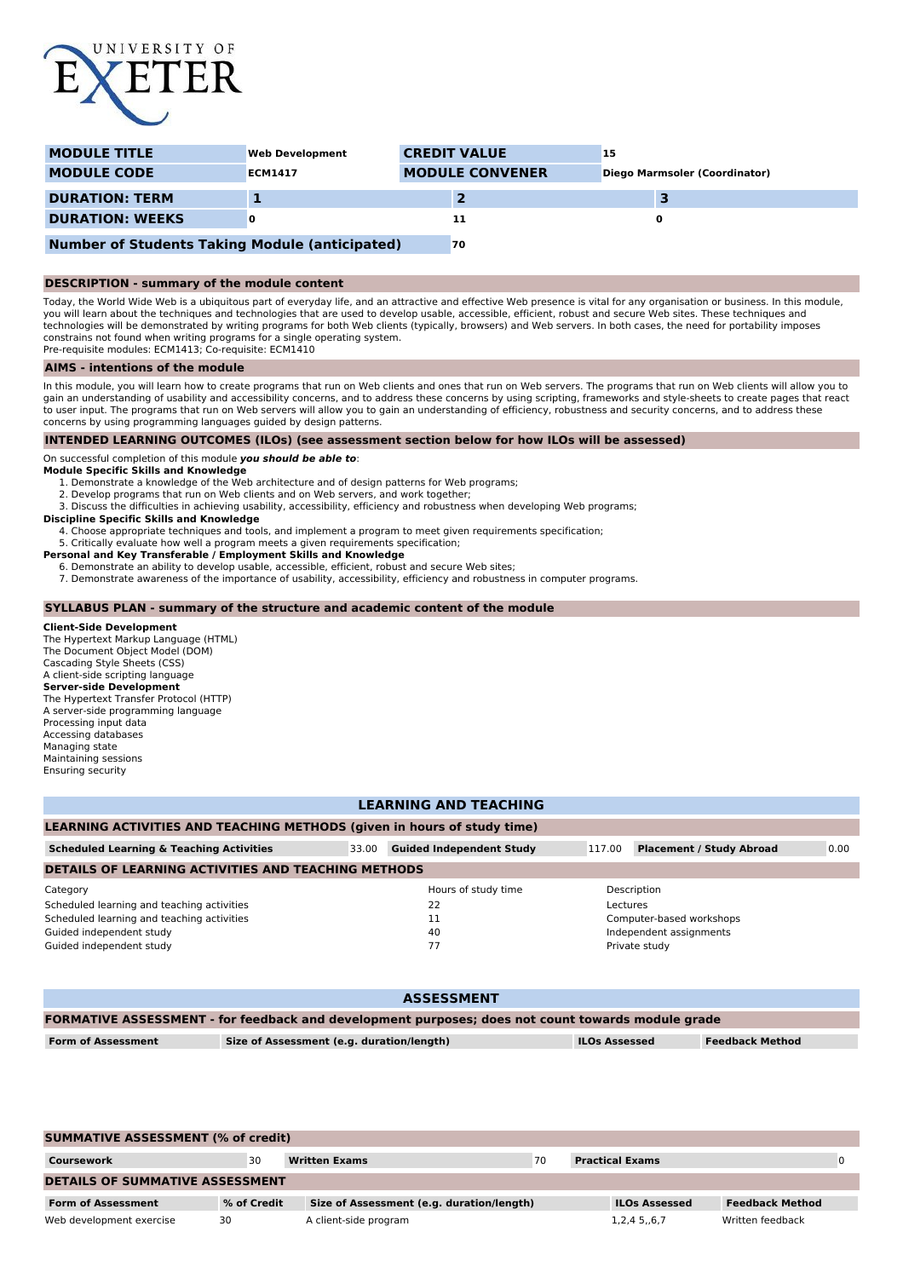

| <b>MODULE TITLE</b>                                   | <b>Web Development</b> | <b>CREDIT VALUE</b>    | 15                            |
|-------------------------------------------------------|------------------------|------------------------|-------------------------------|
| <b>MODULE CODE</b>                                    | <b>ECM1417</b>         | <b>MODULE CONVENER</b> | Diego Marmsoler (Coordinator) |
| <b>DURATION: TERM</b>                                 |                        |                        |                               |
| <b>DURATION: WEEKS</b>                                |                        | 11                     |                               |
| <b>Number of Students Taking Module (anticipated)</b> |                        | 70                     |                               |

# **DESCRIPTION - summary of the module content**

Today, the World Wide Web is a ubiquitous part of everyday life, and an attractive and effective Web presence is vital for any organisation or business. In this module, you will learn about the techniques and technologies that are used to develop usable, accessible, efficient, robust and secure Web sites. These techniques and technologies will be demonstrated by writing programs for both Web clients (typically, browsers) and Web servers. In both cases, the need for portability imposes constrains not found when writing programs for a single operating system. Pre-requisite modules: ECM1413; Co-requisite: ECM1410

### **AIMS - intentions of the module**

In this module, you will learn how to create programs that run on Web clients and ones that run on Web servers. The programs that run on Web clients will allow you to gain an understanding of usability and accessibility concerns, and to address these concerns by using scripting, frameworks and style-sheets to create pages that react to user input. The programs that run on Web servers will allow you to gain an understanding of efficiency, robustness and security concerns, and to address these concerns by using programming languages guided by design patterns.

## **INTENDED LEARNING OUTCOMES (ILOs) (see assessment section below for how ILOs will be assessed)**

On successful completion of this module **you should be able to**:

- **Module Specific Skills and Knowledge** 1. Demonstrate a knowledge of the Web architecture and of design patterns for Web programs;
	- 2. Develop programs that run on Web clients and on Web servers, and work together; 3. Discuss the difficulties in achieving usability, accessibility, efficiency and robustness when developing Web programs;

#### **Discipline Specific Skills and Knowledge**

4. Choose appropriate techniques and tools, and implement a program to meet given requirements specification;

- 5. Critically evaluate how well a program meets a given requirements specification;
- **Personal and Key Transferable / Employment Skills and Knowledge**
	- 6. Demonstrate an ability to develop usable, accessible, efficient, robust and secure Web sites;
	- 7. Demonstrate awareness of the importance of usability, accessibility, efficiency and robustness in computer programs.

#### **SYLLABUS PLAN - summary of the structure and academic content of the module**

**Client-Side Development** The Hypertext Markup Language (HTML) The Document Object Model (DOM) Cascading Style Sheets (CSS) A client-side scripting language **Server-side Development** The Hypertext Transfer Protocol (HTTP) A server-side programming language Processing input data Accessing databases Managing state Maintaining sessions Ensuring security

## **LEARNING AND TEACHING**

# **LEARNING ACTIVITIES AND TEACHING METHODS (given in hours of study time)**

| <b>Scheduled Learning &amp; Teaching Activities</b>        | 33.00 | <b>Guided Independent Study</b> | 117.00   | <b>Placement / Study Abroad</b> | 0.00 |
|------------------------------------------------------------|-------|---------------------------------|----------|---------------------------------|------|
| <b>DETAILS OF LEARNING ACTIVITIES AND TEACHING METHODS</b> |       |                                 |          |                                 |      |
| Category                                                   |       | Hours of study time             |          | Description                     |      |
| Scheduled learning and teaching activities                 |       | 22                              | Lectures |                                 |      |
| Scheduled learning and teaching activities                 |       | 11                              |          | Computer-based workshops        |      |
| Guided independent study                                   |       | 40                              |          | Independent assignments         |      |
| Guided independent study                                   |       | 77                              |          | Private study                   |      |

| <b>ASSESSMENT</b>                                                                                 |                                           |                      |                        |  |
|---------------------------------------------------------------------------------------------------|-------------------------------------------|----------------------|------------------------|--|
| FORMATIVE ASSESSMENT - for feedback and development purposes; does not count towards module grade |                                           |                      |                        |  |
| <b>Form of Assessment</b>                                                                         | Size of Assessment (e.g. duration/length) | <b>ILOs Assessed</b> | <b>Feedback Method</b> |  |
|                                                                                                   |                                           |                      |                        |  |

| <b>SUMMATIVE ASSESSMENT (% of credit)</b> |             |                                           |    |                        |                        |   |
|-------------------------------------------|-------------|-------------------------------------------|----|------------------------|------------------------|---|
| <b>Coursework</b>                         | 30          | <b>Written Exams</b>                      | 70 | <b>Practical Exams</b> |                        | 0 |
| <b>DETAILS OF SUMMATIVE ASSESSMENT</b>    |             |                                           |    |                        |                        |   |
| <b>Form of Assessment</b>                 | % of Credit | Size of Assessment (e.g. duration/length) |    | <b>ILOs Assessed</b>   | <b>Feedback Method</b> |   |
| Web development exercise                  | 30          | A client-side program                     |    | 1,2,4 5,,6,7           | Written feedback       |   |